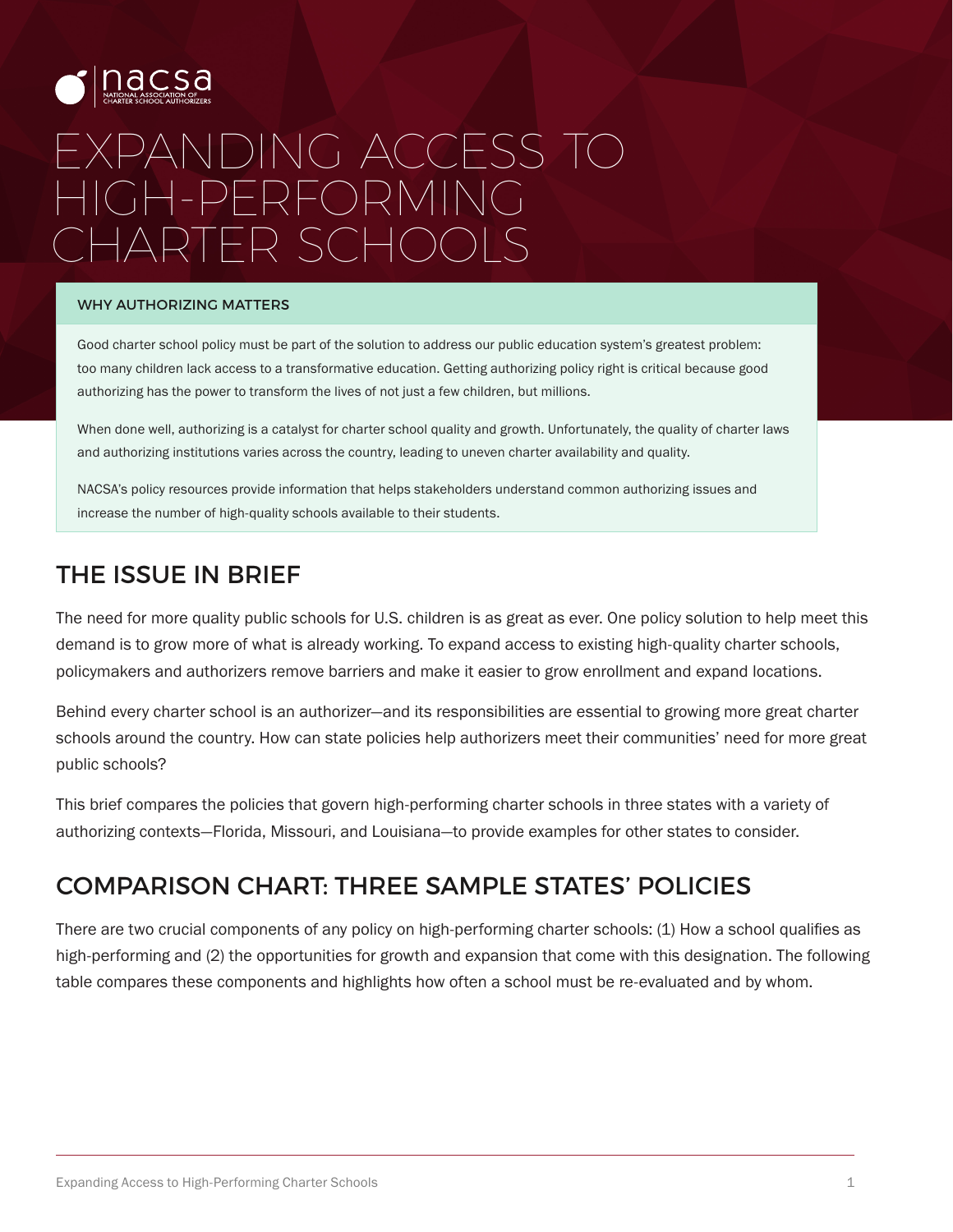

# EXPANDING ACCESS TO HIGH-PERFORMING CHARTER SCHOOLS

#### WHY AUTHORIZING MATTERS

Good charter school policy must be part of the solution to address our public education system's greatest problem: too many children lack access to a transformative education. Getting authorizing policy right is critical because good authorizing has the power to transform the lives of not just a few children, but millions.

When done well, authorizing is a catalyst for charter school quality and growth. Unfortunately, the quality of charter laws and authorizing institutions varies across the country, leading to uneven charter availability and quality.

NACSA's policy resources provide information that helps stakeholders understand common authorizing issues and increase the number of high-quality schools available to their students.

### THE ISSUE IN BRIEF

The need for more quality public schools for U.S. children is as great as ever. One policy solution to help meet this demand is to grow more of what is already working. To expand access to existing high-quality charter schools, policymakers and authorizers remove barriers and make it easier to grow enrollment and expand locations.

Behind every charter school is an authorizer—and its responsibilities are essential to growing more great charter schools around the country. How can state policies help authorizers meet their communities' need for more great public schools?

This brief compares the policies that govern high-performing charter schools in three states with a variety of authorizing contexts—Florida, Missouri, and Louisiana—to provide examples for other states to consider.

## COMPARISON CHART: THREE SAMPLE STATES' POLICIES

There are two crucial components of any policy on high-performing charter schools: (1) How a school qualifies as high-performing and (2) the opportunities for growth and expansion that come with this designation. The following table compares these components and highlights how often a school must be re-evaluated and by whom.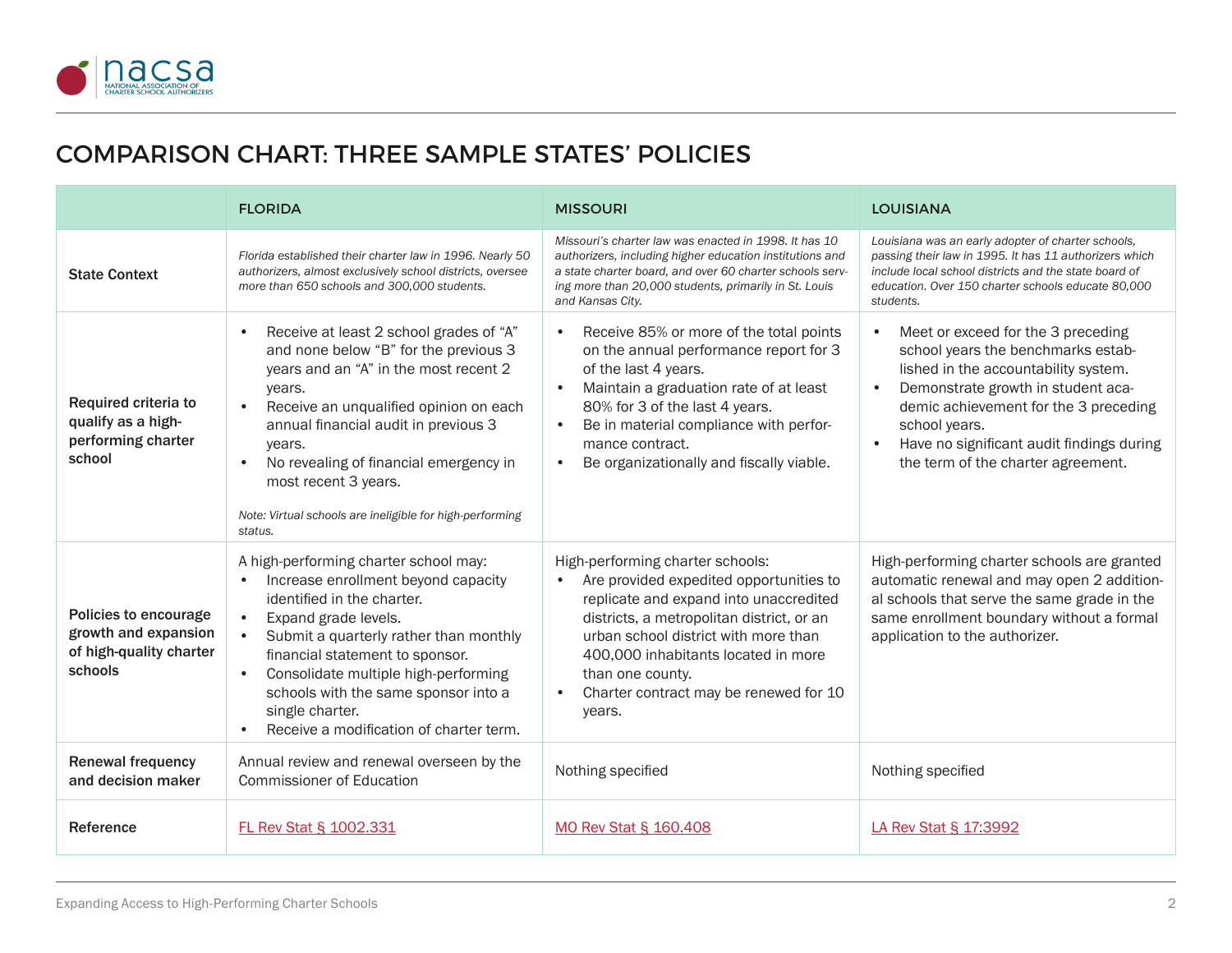

## COMPARISON CHART: THREE SAMPLE STATES' POLICIES

|                                                                                     | <b>FLORIDA</b>                                                                                                                                                                                                                                                                                                                                                                                       | <b>MISSOURI</b>                                                                                                                                                                                                                                                                                                           | <b>LOUISIANA</b>                                                                                                                                                                                                                                                                                    |
|-------------------------------------------------------------------------------------|------------------------------------------------------------------------------------------------------------------------------------------------------------------------------------------------------------------------------------------------------------------------------------------------------------------------------------------------------------------------------------------------------|---------------------------------------------------------------------------------------------------------------------------------------------------------------------------------------------------------------------------------------------------------------------------------------------------------------------------|-----------------------------------------------------------------------------------------------------------------------------------------------------------------------------------------------------------------------------------------------------------------------------------------------------|
| <b>State Context</b>                                                                | Florida established their charter law in 1996. Nearly 50<br>authorizers, almost exclusively school districts, oversee<br>more than 650 schools and 300,000 students.                                                                                                                                                                                                                                 | Missouri's charter law was enacted in 1998. It has 10<br>authorizers, including higher education institutions and<br>a state charter board, and over 60 charter schools serv-<br>ing more than 20,000 students, primarily in St. Louis<br>and Kansas City.                                                                | Louisiana was an early adopter of charter schools,<br>passing their law in 1995. It has 11 authorizers which<br>include local school districts and the state board of<br>education. Over 150 charter schools educate 80,000<br>students.                                                            |
| Required criteria to<br>qualify as a high-<br>performing charter<br>school          | Receive at least 2 school grades of "A"<br>$\bullet$<br>and none below "B" for the previous 3<br>years and an "A" in the most recent 2<br>years.<br>Receive an unqualified opinion on each<br>$\bullet$<br>annual financial audit in previous 3<br>years.<br>No revealing of financial emergency in<br>most recent 3 years.<br>Note: Virtual schools are ineligible for high-performing<br>status.   | Receive 85% or more of the total points<br>on the annual performance report for 3<br>of the last 4 years.<br>Maintain a graduation rate of at least<br>80% for 3 of the last 4 years.<br>Be in material compliance with perfor-<br>mance contract.<br>Be organizationally and fiscally viable.                            | Meet or exceed for the 3 preceding<br>school years the benchmarks estab-<br>lished in the accountability system.<br>Demonstrate growth in student aca-<br>demic achievement for the 3 preceding<br>school years.<br>Have no significant audit findings during<br>the term of the charter agreement. |
| Policies to encourage<br>growth and expansion<br>of high-quality charter<br>schools | A high-performing charter school may:<br>Increase enrollment beyond capacity<br>$\bullet$<br>identified in the charter.<br>Expand grade levels.<br>$\bullet$<br>Submit a quarterly rather than monthly<br>financial statement to sponsor.<br>Consolidate multiple high-performing<br>$\bullet$<br>schools with the same sponsor into a<br>single charter.<br>Receive a modification of charter term. | High-performing charter schools:<br>Are provided expedited opportunities to<br>replicate and expand into unaccredited<br>districts, a metropolitan district, or an<br>urban school district with more than<br>400,000 inhabitants located in more<br>than one county.<br>Charter contract may be renewed for 10<br>years. | High-performing charter schools are granted<br>automatic renewal and may open 2 addition-<br>al schools that serve the same grade in the<br>same enrollment boundary without a formal<br>application to the authorizer.                                                                             |
| <b>Renewal frequency</b><br>and decision maker                                      | Annual review and renewal overseen by the<br><b>Commissioner of Education</b>                                                                                                                                                                                                                                                                                                                        | Nothing specified                                                                                                                                                                                                                                                                                                         | Nothing specified                                                                                                                                                                                                                                                                                   |
| Reference                                                                           | <b>FL Rev Stat § 1002.331</b>                                                                                                                                                                                                                                                                                                                                                                        | MO Rev Stat § 160.408                                                                                                                                                                                                                                                                                                     | LA Rev Stat § 17:3992                                                                                                                                                                                                                                                                               |